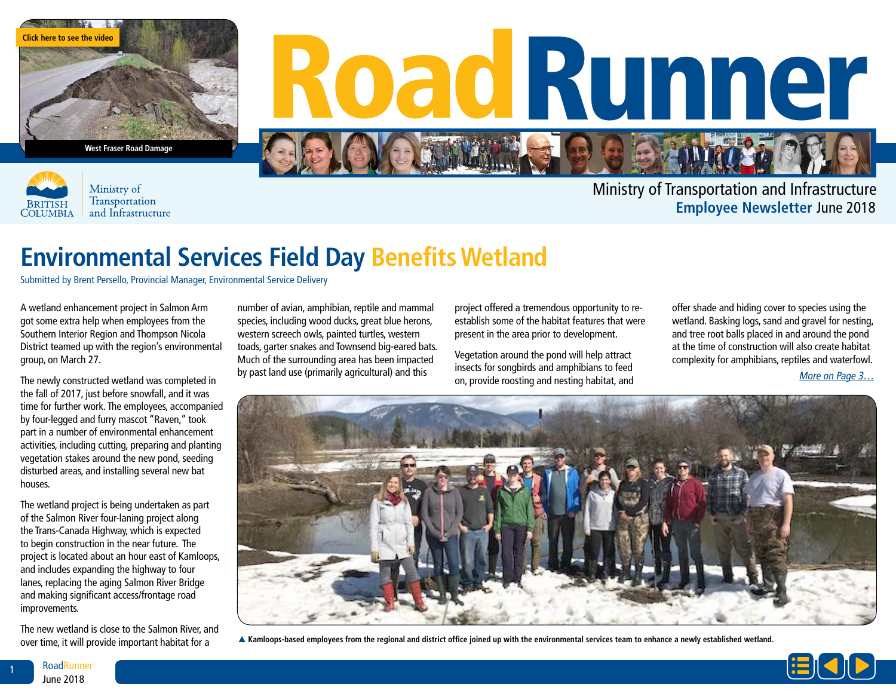

**West Fraser Road Damage**



Ministry of Transportation and Infrastructure

## Road Runner

Ministry of Transportation and Infrastructure **Employee Newsletter** June 2018

## **Environmental Services Field Day Benefits Wetland**

Submitted by Brent Persello, Provincial Manager, Environmental Service Delivery

A wetland enhancement project in Salmon Arm got some extra help when employees from the Southern Interior Region and Thompson Nicola District teamed up with the region's environmental group, on March 27.

The newly constructed wetland was completed in the fall of 2017, just before snowfall, and it was time for further work. The employees, accompanied by four-legged and furry mascot "Raven," took part in a number of environmental enhancement activities, including cutting, preparing and planting vegetation stakes around the new pond, seeding disturbed areas, and installing several new bat houses.

The wetland project is being undertaken as part of the Salmon River four-laning project along the Trans-Canada Highway, which is expected to begin construction in the near future. The project is located about an hour east of Kamloops, and includes expanding the highway to four lanes, replacing the aging Salmon River Bridge and making significant access/frontage road improvements.

The new wetland is close to the Salmon River, and over time, it will provide important habitat for a

number of avian, amphibian, reptile and mammal species, including wood ducks, great blue herons, western screech owls, painted turtles, western toads, garter snakes and Townsend big-eared bats. Much of the surrounding area has been impacted by past land use (primarily agricultural) and this

project offered a tremendous opportunity to reestablish some of the habitat features that were present in the area prior to development.

Vegetation around the pond will help attract insects for songbirds and amphibians to feed on, provide roosting and nesting habitat, and offer shade and hiding cover to species using the wetland. Basking logs, sand and gravel for nesting, and tree root balls placed in and around the pond at the time of construction will also create habitat complexity for amphibians, reptiles and waterfowl.

More on Page 3…



p **Kamloops-based employees from the regional and district office joined up with the environmental services team to enhance a newly established wetland.**